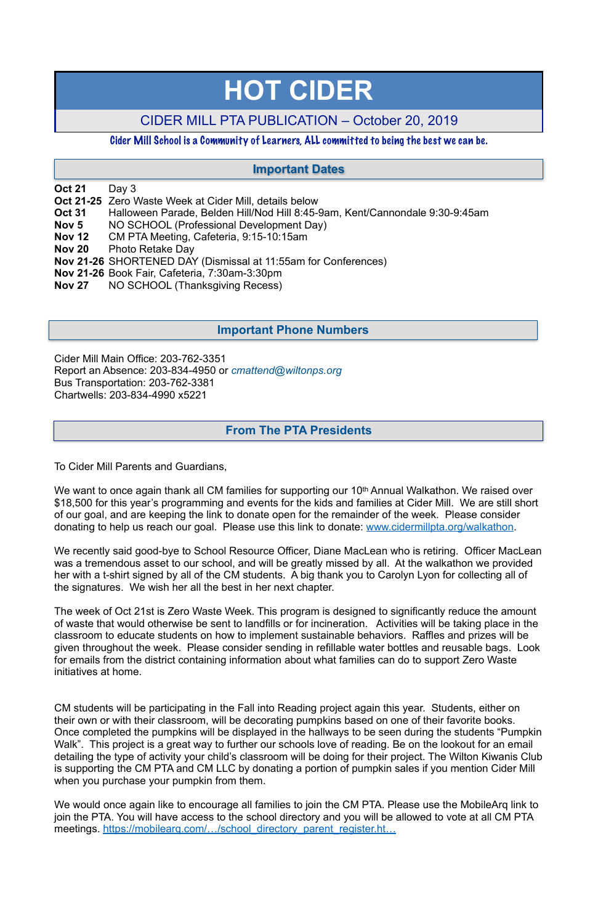**Oct 21** Day 3

- **Oct 21-25** Zero Waste Week at Cider Mill, details below
- **Oct 31** Halloween Parade, Belden Hill/Nod Hill 8:45-9am, Kent/Cannondale 9:30-9:45am
- **Nov 5** NO SCHOOL (Professional Development Day)
- **Nov 12** CM PTA Meeting, Cafeteria, 9:15-10:15am
- **Nov 20** Photo Retake Day
- **Nov 21-26** SHORTENED DAY (Dismissal at 11:55am for Conferences)
- **Nov 21-26** Book Fair, Cafeteria, 7:30am-3:30pm
- **Nov 27** NO SCHOOL (Thanksgiving Recess)

Cider Mill Main Office: 203-762-3351 Report an Absence: 203-834-4950 or *[cmattend@wiltonps.org](mailto:fallonk@wiltonps.org)* Bus Transportation: 203-762-3381 Chartwells: 203-834-4990 x5221

We want to once again thank all CM families for supporting our 10<sup>th</sup> Annual Walkathon. We raised over \$18,500 for this year's programming and events for the kids and families at Cider Mill. We are still short of our goal, and are keeping the link to donate open for the remainder of the week. Please consider donating to help us reach our goal. Please use this link to donate: www.cidermillpta.org/walkathon.

To Cider Mill Parents and Guardians,

We recently said good-bye to School Resource Officer, Diane MacLean who is retiring. Officer MacLean was a tremendous asset to our school, and will be greatly missed by all. At the walkathon we provided her with a t-shirt signed by all of the CM students. A big thank you to Carolyn Lyon for collecting all of the signatures. We wish her all the best in her next chapter.

We would once again like to encourage all families to join the CM PTA. Please use the MobileArq link to join the PTA. You will have access to the school directory and you will be allowed to vote at all CM PTA meetings. https://mobilearg.com/.../school\_directory\_parent\_register.ht...

The week of Oct 21st is Zero Waste Week. This program is designed to significantly reduce the amount of waste that would otherwise be sent to landfills or for incineration. Activities will be taking place in the classroom to educate students on how to implement sustainable behaviors. Raffles and prizes will be given throughout the week. Please consider sending in refillable water bottles and reusable bags. Look for emails from the district containing information about what families can do to support Zero Waste initiatives at home.

CM students will be participating in the Fall into Reading project again this year. Students, either on their own or with their classroom, will be decorating pumpkins based on one of their favorite books. Once completed the pumpkins will be displayed in the hallways to be seen during the students "Pumpkin Walk". This project is a great way to further our schools love of reading. Be on the lookout for an email detailing the type of activity your child's classroom will be doing for their project. The Wilton Kiwanis Club is supporting the CM PTA and CM LLC by donating a portion of pumpkin sales if you mention Cider Mill when you purchase your pumpkin from them.

# **HOT CIDER**

# CIDER MILL PTA PUBLICATION – October 20, 2019

## Cider Mill School is a Community of Learners, ALL committed to being the best we can be.

## **From The PTA Presidents**

## **Important Dates**

## **Important Phone Numbers**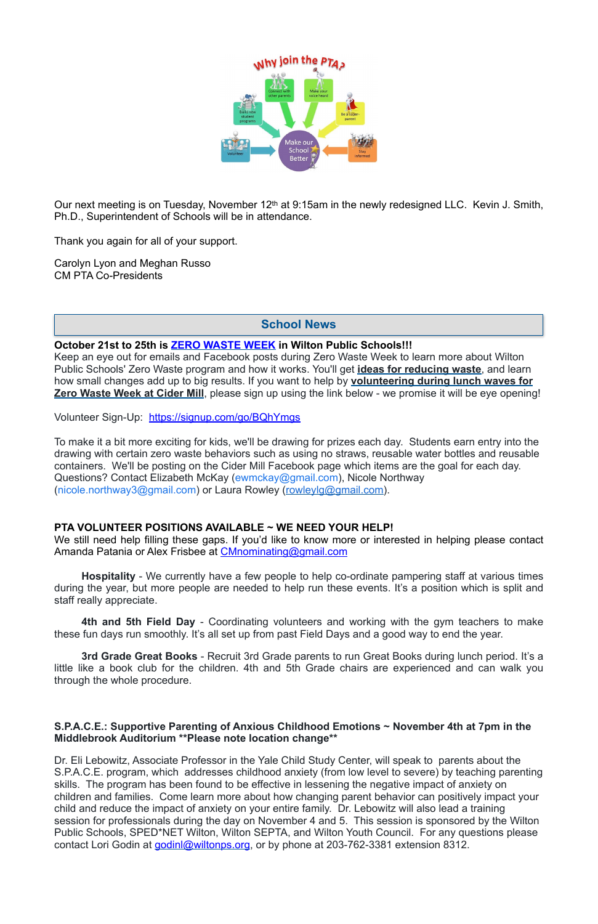

Our next meeting is on Tuesday, November 12th at 9:15am in the newly redesigned LLC. Kevin J. Smith, Ph.D., Superintendent of Schools will be in attendance.

Thank you again for all of your support.

Carolyn Lyon and Meghan Russo CM PTA Co-Presidents

#### **October 21st to 25th is ZERO WASTE WEEK in Wilton Public Schools!!!**

Keep an eye out for emails and Facebook posts during Zero Waste Week to learn more about Wilton Public Schools' Zero Waste program and how it works. You'll get **ideas for reducing waste**, and learn how small changes add up to big results. If you want to help by **volunteering during lunch waves for Zero Waste Week at Cider Mill**, please sign up using the link below - we promise it will be eye opening!

Volunteer Sign-Up: <https://signup.com/go/BQhYmgs>

To make it a bit more exciting for kids, we'll be drawing for prizes each day. Students earn entry into the drawing with certain zero waste behaviors such as using no straws, reusable water bottles and reusable containers. We'll be posting on the Cider Mill Facebook page which items are the goal for each day. Questions? Contact Elizabeth McKay ([ewmckay@gmail.com](mailto:ewmckay@gmail.com)), Nicole Northway ([nicole.northway3@gmail.com\)](mailto:nicole.northway3@gmail.com) or Laura Rowley ([rowleylg@gmail.com](mailto:rowleylg@gmail.com)).

Dr. Eli Lebowitz, Associate Professor in the Yale Child Study Center, will speak to parents about the S.P.A.C.E. program, which addresses childhood anxiety (from low level to severe) by teaching parenting skills. The program has been found to be effective in lessening the negative impact of anxiety on children and families. Come learn more about how changing parent behavior can positively impact your child and reduce the impact of anxiety on your entire family. Dr. Lebowitz will also lead a training session for professionals during the day on November 4 and 5. This session is sponsored by the Wilton Public Schools, SPED\*NET Wilton, Wilton SEPTA, and Wilton Youth Council. For any questions please contact Lori Godin at [godinl@wiltonps.org](mailto:godinl@wiltonps.org), or by phone at 203-762-3381 extension 8312.

#### **PTA VOLUNTEER POSITIONS AVAILABLE ~ WE NEED YOUR HELP!**

We still need help filling these gaps. If you'd like to know more or interested in helping please contact Amanda Patania or Alex Frisbee at [CMnominating@gmail.com](mailto:CMnominating@gmail.com)

**Hospitality** - We currently have a few people to help co-ordinate pampering staff at various times during the year, but more people are needed to help run these events. It's a position which is split and staff really appreciate.

**4th and 5th Field Day** - Coordinating volunteers and working with the gym teachers to make these fun days run smoothly. It's all set up from past Field Days and a good way to end the year.

**3rd Grade Great Books** - Recruit 3rd Grade parents to run Great Books during lunch period. It's a little like a book club for the children. 4th and 5th Grade chairs are experienced and can walk you

through the whole procedure.

#### **S.P.A.C.E.: Supportive Parenting of Anxious Childhood Emotions ~ November 4th at 7pm in the Middlebrook Auditorium \*\*Please note location change\*\***

## **School News**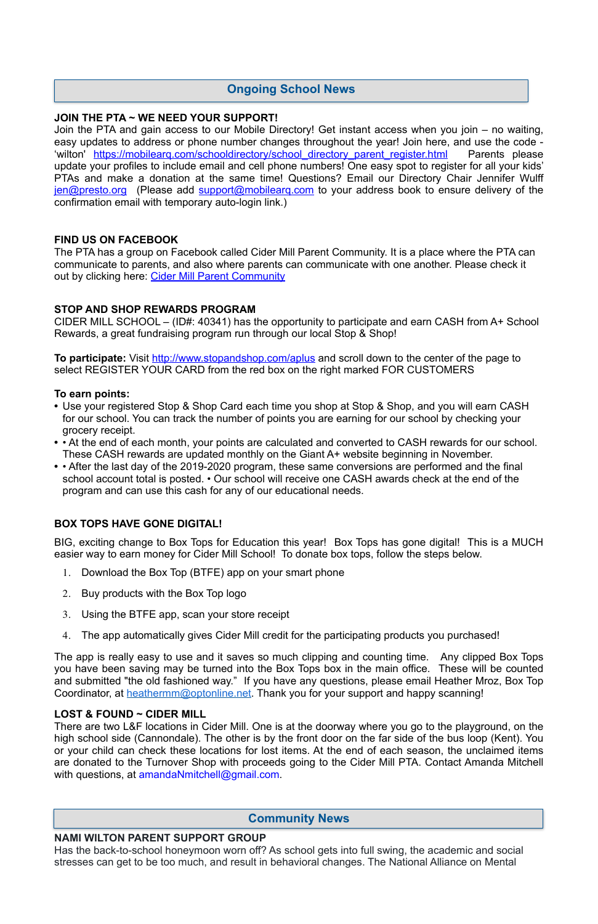#### **JOIN THE PTA ~ WE NEED YOUR SUPPORT!**

The PTA has a group on Facebook called Cider Mill Parent Community. It is a place where the PTA can communicate to parents, and also where parents can communicate with one another. Please check it out by clicking here: [Cider Mill Parent Community](https://www.facebook.com/groups/1168962513117647/)

Join the PTA and gain access to our Mobile Directory! Get instant access when you join – no waiting, easy updates to address or phone number changes throughout the year! Join here, and use the code - 'wilton' https://mobilearq.com/schooldirectory/school directory parent register.html Parents please update your profiles to include email and cell phone numbers! One easy spot to register for all your kids' PTAs and make a donation at the same time! Questions? Email our Directory Chair Jennifer Wulff [jen@presto.org](mailto:jen@presto.org) (Please add support@mobilearg.com to your address book to ensure delivery of the confirmation email with temporary auto-login link.)

**To participate:** Visit<http://www.stopandshop.com/aplus>and scroll down to the center of the page to select REGISTER YOUR CARD from the red box on the right marked FOR CUSTOMERS

#### **FIND US ON FACEBOOK**

#### **STOP AND SHOP REWARDS PROGRAM**

CIDER MILL SCHOOL – (ID#: 40341) has the opportunity to participate and earn CASH from A+ School Rewards, a great fundraising program run through our local Stop & Shop!

The app is really easy to use and it saves so much clipping and counting time. Any clipped Box Tops you have been saving may be turned into the Box Tops box in the main office. These will be counted and submitted "the old fashioned way." If you have any questions, please email Heather Mroz, Box Top Coordinator, at **heathermm@optonline.net**. Thank you for your support and happy scanning!

#### **To earn points:**

There are two L&F locations in Cider Mill. One is at the doorway where you go to the playground, on the high school side (Cannondale). The other is by the front door on the far side of the bus loop (Kent). You or your child can check these locations for lost items. At the end of each season, the unclaimed items are donated to the Turnover Shop with proceeds going to the Cider Mill PTA. Contact Amanda Mitchell with questions, at [amandaNmitchell@gmail.com](mailto:amandaNmitchell@gmail.com).

- **•** Use your registered Stop & Shop Card each time you shop at Stop & Shop, and you will earn CASH for our school. You can track the number of points you are earning for our school by checking your grocery receipt.
- **•** At the end of each month, your points are calculated and converted to CASH rewards for our school. These CASH rewards are updated monthly on the Giant A+ website beginning in November.
- **•** After the last day of the 2019-2020 program, these same conversions are performed and the final school account total is posted. • Our school will receive one CASH awards check at the end of the program and can use this cash for any of our educational needs.

### **BOX TOPS HAVE GONE DIGITAL!**

BIG, exciting change to Box Tops for Education this year! Box Tops has gone digital! This is a MUCH easier way to earn money for Cider Mill School! To donate box tops, follow the steps below.

- 1. Download the Box Top (BTFE) app on your smart phone
- 2. Buy products with the Box Top logo
- 3. Using the BTFE app, scan your store receipt
- 4. The app automatically gives Cider Mill credit for the participating products you purchased!

#### **LOST & FOUND ~ CIDER MILL**

#### **NAMI WILTON PARENT SUPPORT GROUP**

Has the back-to-school honeymoon worn off? As school gets into full swing, the academic and social stresses can get to be too much, and result in behavioral changes. The National Alliance on Mental

# **Community News**

## **Ongoing School News**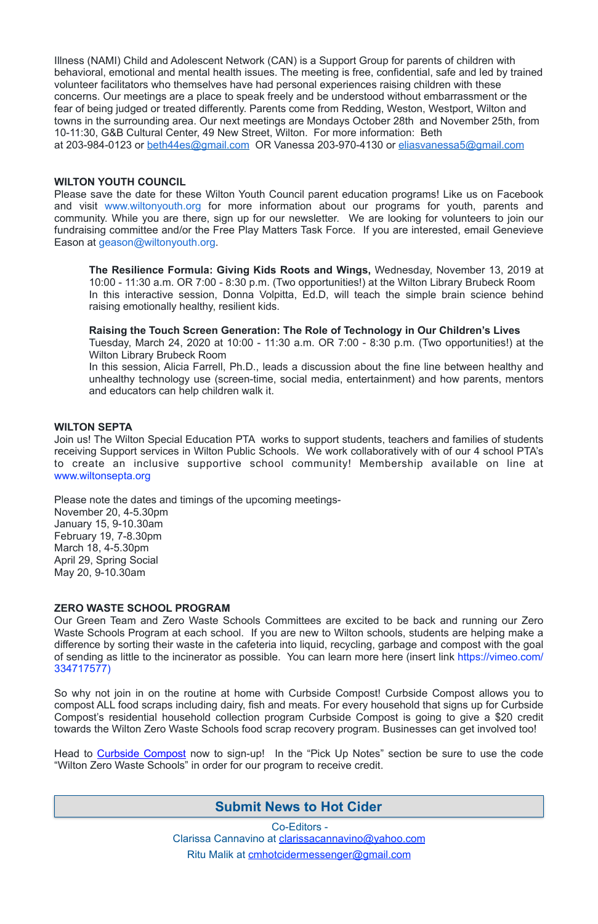Illness (NAMI) Child and Adolescent Network (CAN) is a Support Group for parents of children with behavioral, emotional and mental health issues. The meeting is free, confidential, safe and led by trained volunteer facilitators who themselves have had personal experiences raising children with these concerns. Our meetings are a place to speak freely and be understood without embarrassment or the fear of being judged or treated differently. Parents come from Redding, Weston, Westport, Wilton and towns in the surrounding area. Our next meetings are Mondays October 28th and November 25th, from 10-11:30, G&B Cultural Center, 49 New Street, Wilton. For more information: Beth at 203-984-0123 or [beth44es@gmail.com](mailto:beth44es@gmail.com) OR Vanessa 203-970-4130 or [eliasvanessa5@gmail.com](mailto:eliasvanessa5@gmail.com) 

#### **WILTON YOUTH COUNCIL**

Please save the date for these Wilton Youth Council parent education programs! Like us on Facebook and visit [www.wiltonyouth.org](http://www.wiltonyouth.org/) for more information about our programs for youth, parents and community. While you are there, sign up for our newsletter. We are looking for volunteers to join our fundraising committee and/or the Free Play Matters Task Force. If you are interested, email Genevieve Eason at [geason@wiltonyouth.org](mailto:geason@wiltonyouth.org).

**The Resilience Formula: Giving Kids Roots and Wings,** Wednesday, November 13, 2019 at 10:00 - 11:30 a.m. OR 7:00 - 8:30 p.m. (Two opportunities!) at the Wilton Library Brubeck Room In this interactive session, Donna Volpitta, Ed.D, will teach the simple brain science behind raising emotionally healthy, resilient kids.

**Raising the Touch Screen Generation: The Role of Technology in Our Children's Lives** 

Tuesday, March 24, 2020 at 10:00 - 11:30 a.m. OR 7:00 - 8:30 p.m. (Two opportunities!) at the Wilton Library Brubeck Room

Head to [Curbside Compost](https://www.curbcompost.org) now to sign-up! In the "Pick Up Notes" section be sure to use the code "Wilton Zero Waste Schools" in order for our program to receive credit.

In this session, Alicia Farrell, Ph.D., leads a discussion about the fine line between healthy and unhealthy technology use (screen-time, social media, entertainment) and how parents, mentors and educators can help children walk it.

#### **WILTON SEPTA**

Join us! The Wilton Special Education PTA works to support students, teachers and families of students receiving Support services in Wilton Public Schools. We work collaboratively with of our 4 school PTA's to create an inclusive supportive school community! Membership available on line at [www.wiltonsepta.org](http://www.wiltonsepta.org/)

Please note the dates and timings of the upcoming meetings-

November 20, 4-5.30pm January 15, 9-10.30am February 19, 7-8.30pm March 18, 4-5.30pm April 29, Spring Social May 20, 9-10.30am

#### **ZERO WASTE SCHOOL PROGRAM**

Our Green Team and Zero Waste Schools Committees are excited to be back and running our Zero Waste Schools Program at each school. If you are new to Wilton schools, students are helping make a difference by sorting their waste in the cafeteria into liquid, recycling, garbage and compost with the goal of sending as little to the incinerator as possible. You can learn more here (insert link [https://vimeo.com/](https://vimeo.com/334717577) [334717577](https://vimeo.com/334717577))

So why not join in on the routine at home with Curbside Compost! Curbside Compost allows you to compost ALL food scraps including dairy, fish and meats. For every household that signs up for Curbside Compost's residential household collection program Curbside Compost is going to give a \$20 credit towards the Wilton Zero Waste Schools food scrap recovery program. Businesses can get involved too!

> Co-Editors - Clarissa Cannavino at [clarissacannavino@yahoo.com](mailto:clarissacannavino@yahoo.com) Ritu Malik at [cmhotcidermessenger@gmail.com](mailto:cmhotcidermessenger@gmail.com)

# **Submit News to Hot Cider**